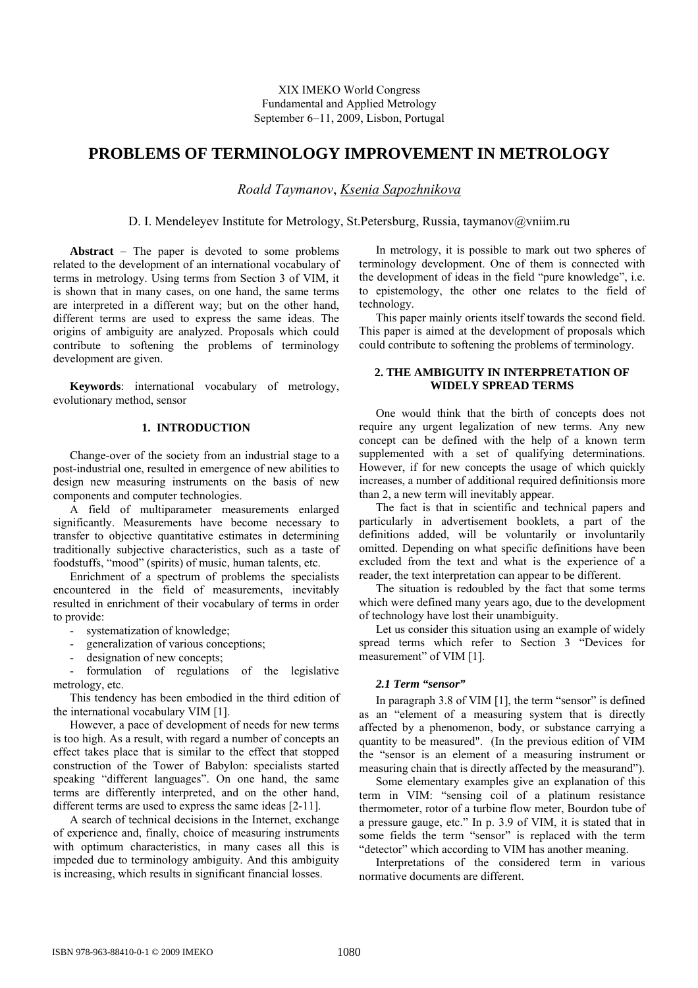# **PROBLEMS OF TERMINOLOGY IMPROVEMENT IN METROLOGY**

*Roald Taymanov*, *Ksenia Sapozhnikova* 

D. I. Mendeleyev Institute for Metrology, St.Petersburg, Russia, taymanov@vniim.ru

**Abstract** − The paper is devoted to some problems related to the development of an international vocabulary of terms in metrology. Using terms from Section 3 of VIM, it is shown that in many cases, on one hand, the same terms are interpreted in a different way; but on the other hand, different terms are used to express the same ideas. The origins of ambiguity are analyzed. Proposals which could contribute to softening the problems of terminology development are given.

**Keywords**: international vocabulary of metrology, evolutionary method, sensor

#### **1. INTRODUCTION**

Change-over of the society from an industrial stage to a post-industrial one, resulted in emergence of new abilities to design new measuring instruments on the basis of new components and computer technologies.

A field of multiparameter measurements enlarged significantly. Measurements have become necessary to transfer to objective quantitative estimates in determining traditionally subjective characteristics, such as a taste of foodstuffs, "mood" (spirits) of music, human talents, etc.

Enrichment of a spectrum of problems the specialists encountered in the field of measurements, inevitably resulted in enrichment of their vocabulary of terms in order to provide:

- systematization of knowledge;
- generalization of various conceptions;
- designation of new concepts;

formulation of regulations of the legislative metrology, etc.

This tendency has been embodied in the third edition of the international vocabulary VIM [1].

However, a pace of development of needs for new terms is too high. As a result, with regard a number of concepts an effect takes place that is similar to the effect that stopped construction of the Tower of Babylon: specialists started speaking "different languages". On one hand, the same terms are differently interpreted, and on the other hand, different terms are used to express the same ideas [2-11].

A search of technical decisions in the Internet, exchange of experience and, finally, choice of measuring instruments with optimum characteristics, in many cases all this is impeded due to terminology ambiguity. And this ambiguity is increasing, which results in significant financial losses.

In metrology, it is possible to mark out two spheres of terminology development. One of them is connected with the development of ideas in the field "pure knowledge", i.e. to epistemology, the other one relates to the field of technology.

This paper mainly orients itself towards the second field. This paper is aimed at the development of proposals which could contribute to softening the problems of terminology.

## **2. THE AMBIGUITY IN INTERPRETATION OF WIDELY SPREAD TERMS**

One would think that the birth of concepts does not require any urgent legalization of new terms. Any new concept can be defined with the help of a known term supplemented with a set of qualifying determinations. However, if for new concepts the usage of which quickly increases, a number of additional required definitionsis more than 2, a new term will inevitably appear.

The fact is that in scientific and technical papers and particularly in advertisement booklets, a part of the definitions added, will be voluntarily or involuntarily omitted. Depending on what specific definitions have been excluded from the text and what is the experience of a reader, the text interpretation can appear to be different.

The situation is redoubled by the fact that some terms which were defined many years ago, due to the development of technology have lost their unambiguity.

Let us consider this situation using an example of widely spread terms which refer to Section 3 "Devices for measurement" of VIM [1].

#### *2.1 Term "sensor"*

In paragraph 3.8 of VIM [1], the term "sensor" is defined as an "element of a measuring system that is directly affected by a phenomenon, body, or substance carrying a quantity to be measured". (In the previous edition of VIM the "sensor is an element of a measuring instrument or measuring chain that is directly affected by the measurand").

Some elementary examples give an explanation of this term in VIM: "sensing coil of a platinum resistance thermometer, rotor of a turbine flow meter, Bourdon tube of a pressure gauge, etc." In p. 3.9 of VIM, it is stated that in some fields the term "sensor" is replaced with the term "detector" which according to VIM has another meaning.

Interpretations of the considered term in various normative documents are different.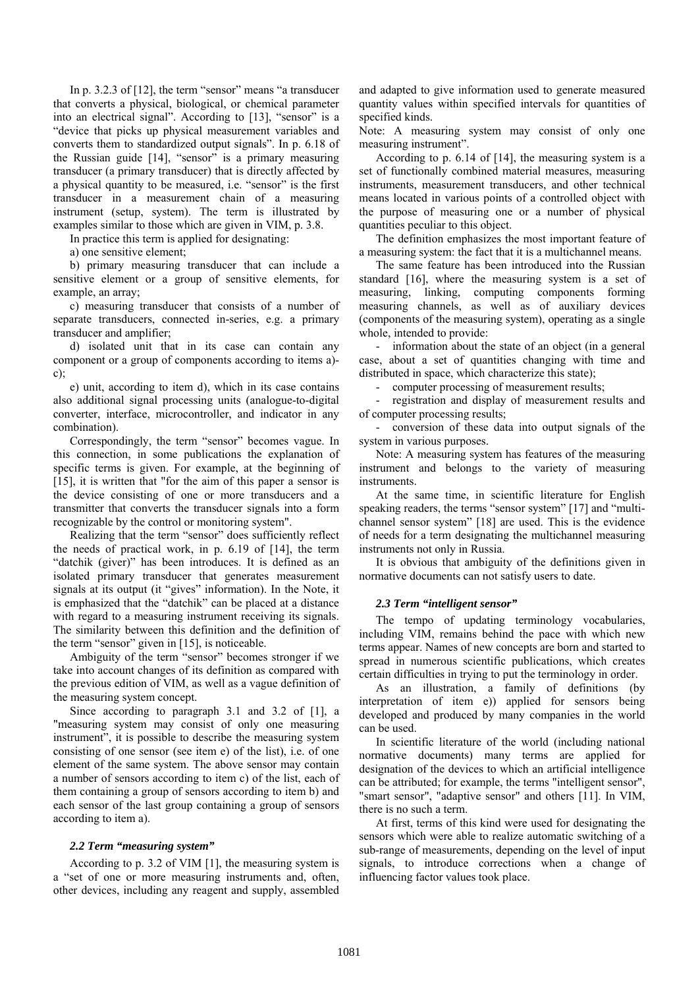In p. 3.2.3 of [12], the term "sensor" means "a transducer that converts a physical, biological, or chemical parameter into an electrical signal". According to [13], "sensor" is a "device that picks up physical measurement variables and converts them to standardized output signals". In p. 6.18 of the Russian guide [14], "sensor" is a primary measuring transducer (a primary transducer) that is directly affected by a physical quantity to be measured, i.e. "sensor" is the first transducer in a measurement chain of a measuring instrument (setup, system). The term is illustrated by examples similar to those which are given in VIM, p. 3.8.

In practice this term is applied for designating:

a) one sensitive element;

b) primary measuring transducer that can include a sensitive element or a group of sensitive elements, for example, an array;

c) measuring transducer that consists of a number of separate transducers, connected in-series, e.g. a primary transducer and amplifier;

d) isolated unit that in its case can contain any component or a group of components according to items a) c);

e) unit, according to item d), which in its case contains also additional signal processing units (analogue-to-digital converter, interface, microcontroller, and indicator in any combination).

Correspondingly, the term "sensor" becomes vague. In this connection, in some publications the explanation of specific terms is given. For example, at the beginning of [15], it is written that "for the aim of this paper a sensor is the device consisting of one or more transducers and a transmitter that converts the transducer signals into a form recognizable by the control or monitoring system".

Realizing that the term "sensor" does sufficiently reflect the needs of practical work, in p. 6.19 of [14], the term "datchik (giver)" has been introduces. It is defined as an isolated primary transducer that generates measurement signals at its output (it "gives" information). In the Note, it is emphasized that the "datchik" can be placed at a distance with regard to a measuring instrument receiving its signals. The similarity between this definition and the definition of the term "sensor" given in [15], is noticeable.

Ambiguity of the term "sensor" becomes stronger if we take into account changes of its definition as compared with the previous edition of VIM, as well as a vague definition of the measuring system concept.

Since according to paragraph 3.1 and 3.2 of [1], a "measuring system may consist of only one measuring instrument", it is possible to describe the measuring system consisting of one sensor (see item e) of the list), i.e. of one element of the same system. The above sensor may contain a number of sensors according to item c) of the list, each of them containing a group of sensors according to item b) and each sensor of the last group containing a group of sensors according to item a).

#### *2.2 Term "measuring system"*

According to p. 3.2 of VIM [1], the measuring system is a "set of one or more measuring instruments and, often, other devices, including any reagent and supply, assembled and adapted to give information used to generate measured quantity values within specified intervals for quantities of specified kinds.

Note: A measuring system may consist of only one measuring instrument".

According to p. 6.14 of [14], the measuring system is a set of functionally combined material measures, measuring instruments, measurement transducers, and other technical means located in various points of a controlled object with the purpose of measuring one or a number of physical quantities peculiar to this object.

The definition emphasizes the most important feature of a measuring system: the fact that it is a multichannel means.

The same feature has been introduced into the Russian standard [16], where the measuring system is a set of measuring, linking, computing components forming measuring channels, as well as of auxiliary devices (components of the measuring system), operating as a single whole, intended to provide:

- information about the state of an object (in a general case, about a set of quantities changing with time and distributed in space, which characterize this state);

- computer processing of measurement results;

registration and display of measurement results and of computer processing results;

- conversion of these data into output signals of the system in various purposes.

Note: A measuring system has features of the measuring instrument and belongs to the variety of measuring instruments.

At the same time, in scientific literature for English speaking readers, the terms "sensor system" [17] and "multichannel sensor system" [18] are used. This is the evidence of needs for a term designating the multichannel measuring instruments not only in Russia.

It is obvious that ambiguity of the definitions given in normative documents can not satisfy users to date.

#### *2.3 Term "intelligent sensor"*

The tempo of updating terminology vocabularies, including VIM, remains behind the pace with which new terms appear. Names of new concepts are born and started to spread in numerous scientific publications, which creates certain difficulties in trying to put the terminology in order.

As an illustration, a family of definitions (by interpretation of item e)) applied for sensors being developed and produced by many companies in the world can be used.

In scientific literature of the world (including national normative documents) many terms are applied for designation of the devices to which an artificial intelligence can be attributed; for example, the terms "intelligent sensor", "smart sensor", "adaptive sensor" and others [11]. In VIM, there is no such a term.

At first, terms of this kind were used for designating the sensors which were able to realize automatic switching of a sub-range of measurements, depending on the level of input signals, to introduce corrections when a change of influencing factor values took place.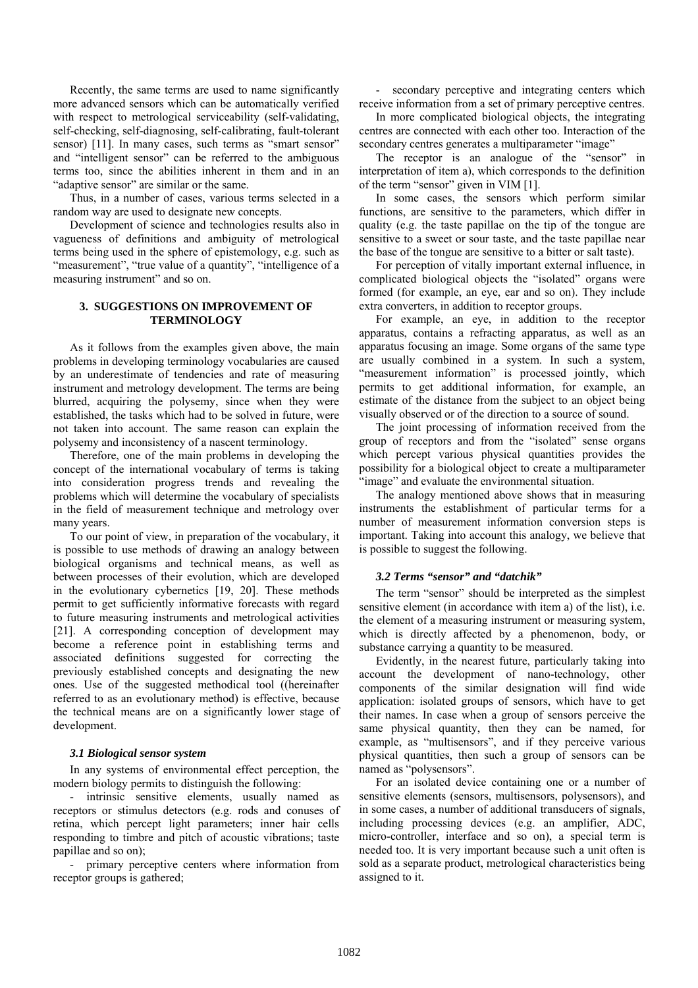Recently, the same terms are used to name significantly more advanced sensors which can be automatically verified with respect to metrological serviceability (self-validating, self-checking, self-diagnosing, self-calibrating, fault-tolerant sensor) [11]. In many cases, such terms as "smart sensor" and "intelligent sensor" can be referred to the ambiguous terms too, since the abilities inherent in them and in an "adaptive sensor" are similar or the same.

Thus, in a number of cases, various terms selected in a random way are used to designate new concepts.

Development of science and technologies results also in vagueness of definitions and ambiguity of metrological terms being used in the sphere of epistemology, e.g. such as "measurement", "true value of a quantity", "intelligence of a measuring instrument" and so on.

## **3. SUGGESTIONS ON IMPROVEMENT OF TERMINOLOGY**

As it follows from the examples given above, the main problems in developing terminology vocabularies are caused by an underestimate of tendencies and rate of measuring instrument and metrology development. The terms are being blurred, acquiring the polysemy, since when they were established, the tasks which had to be solved in future, were not taken into account. The same reason can explain the polysemy and inconsistency of a nascent terminology.

Therefore, one of the main problems in developing the concept of the international vocabulary of terms is taking into consideration progress trends and revealing the problems which will determine the vocabulary of specialists in the field of measurement technique and metrology over many years.

To our point of view, in preparation of the vocabulary, it is possible to use methods of drawing an analogy between biological organisms and technical means, as well as between processes of their evolution, which are developed in the evolutionary cybernetics [19, 20]. These methods permit to get sufficiently informative forecasts with regard to future measuring instruments and metrological activities [21]. A corresponding conception of development may become a reference point in establishing terms and associated definitions suggested for correcting the previously established concepts and designating the new ones. Use of the suggested methodical tool ((hereinafter referred to as an evolutionary method) is effective, because the technical means are on a significantly lower stage of development.

#### *3.1 Biological sensor system*

In any systems of environmental effect perception, the modern biology permits to distinguish the following:

- intrinsic sensitive elements, usually named as receptors or stimulus detectors (e.g. rods and conuses of retina, which percept light parameters; inner hair cells responding to timbre and pitch of acoustic vibrations; taste [papillae](http://en.wiktionary.org/wiki/Papillae) and so on);

- primary perceptive centers where information from receptor groups is gathered;

- secondary perceptive and integrating centers which receive information from a set of primary perceptive centres.

In more complicated biological objects, the integrating centres are connected with each other too. Interaction of the secondary centres generates a multiparameter "image"

The receptor is an analogue of the "sensor" in interpretation of item a), which corresponds to the definition of the term "sensor" given in VIM [1].

In some cases, the sensors which perform similar functions, are sensitive to the parameters, which differ in quality (e.g. the taste [papillae](http://en.wiktionary.org/wiki/Papillae) on the tip of the tongue are sensitive to a sweet or sour taste, and the taste [papillae](http://en.wiktionary.org/wiki/Papillae) near the base of the tongue are sensitive to a bitter or salt taste).

For perception of vitally important external influence, in complicated biological objects the "isolated" organs were formed (for example, an eye, ear and so on). They include extra converters, in addition to receptor groups.

For example, an eye, in addition to the receptor apparatus, contains a refracting apparatus, as well as an apparatus focusing an image. Some organs of the same type are usually combined in a system. In such a system, "measurement information" is processed jointly, which permits to get additional information, for example, an estimate of the distance from the subject to an object being visually observed or of the direction to a source of sound.

The joint processing of information received from the group of receptors and from the "isolated" sense organs which percept various physical quantities provides the possibility for a biological object to create a multiparameter "image" and evaluate the environmental situation.

The analogy mentioned above shows that in measuring instruments the establishment of particular terms for a number of measurement information conversion steps is important. Taking into account this analogy, we believe that is possible to suggest the following.

#### *3.2 Terms "sensor" and "datchik"*

The term "sensor" should be interpreted as the simplest sensitive element (in accordance with item a) of the list), i.e. the element of a measuring instrument or measuring system, which is directly affected by a phenomenon, body, or substance carrying a quantity to be measured.

Evidently, in the nearest future, particularly taking into account the development of nano-technology, other components of the similar designation will find wide application: isolated groups of sensors, which have to get their names. In case when a group of sensors perceive the same physical quantity, then they can be named, for example, as "multisensors", and if they perceive various physical quantities, then such a group of sensors can be named as "polysensors".

For an isolated device containing one or a number of sensitive elements (sensors, multisensors, polysensors), and in some cases, a number of additional transducers of signals, including processing devices (e.g. an amplifier, ADC, micro-controller, interface and so on), a special term is needed too. It is very important because such a unit often is sold as a separate product, metrological characteristics being assigned to it.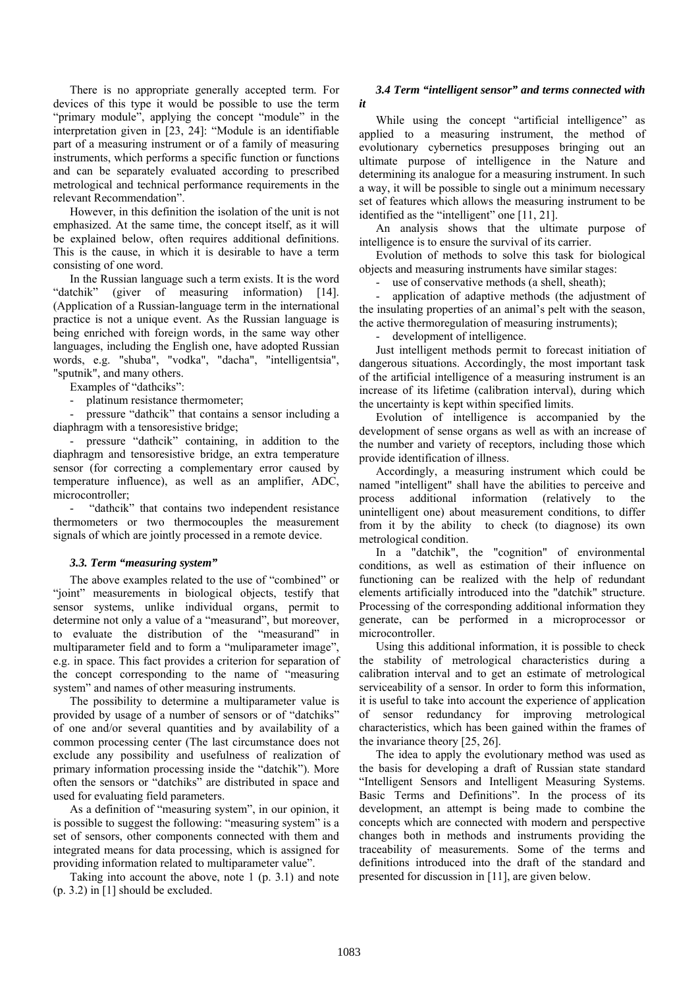There is no appropriate generally accepted term. For devices of this type it would be possible to use the term "primary module", applying the concept "module" in the interpretation given in [23, 24]: "Мodule is an identifiable part of a measuring instrument or of a family of measuring instruments, which performs a specific function or functions and can be separately evaluated according to prescribed metrological and technical performance requirements in the relevant Recommendation".

However, in this definition the isolation of the unit is not emphasized. At the same time, the concept itself, as it will be explained below, often requires additional definitions. This is the cause, in which it is desirable to have a term consisting of one word.

In the Russian language such a term exists. It is the word "datchik" (giver of measuring information) [14]. (Application of a Russian-language term in the international practice is not a unique event. As the Russian language is being enriched with foreign words, in the same way other languages, including the English one, have adopted Russian words, e.g. "shuba", "vodka", "dacha", "intelligentsia", "sputnik", and many others.

Examples of "dathciks":

- platinum resistance thermometer;

- pressure "dathcik" that contains a sensor including a diaphragm with a tensoresistive bridge;

- pressure "dathcik" containing, in addition to the diaphragm and tensoresistive bridge, an extra temperature sensor (for correcting a complementary error caused by temperature influence), as well as an amplifier, ADC, microcontroller;

"dathcik" that contains two independent resistance thermometers or two thermocouples the measurement signals of which are jointly processed in a remote device.

#### *3.3. Term "measuring system"*

The above examples related to the use of "combined" or "joint" measurements in biological objects, testify that sensor systems, unlike individual organs, permit to determine not only a value of a "measurand", but moreover, to evaluate the distribution of the "measurand" in multiparameter field and to form a "muliparameter image", e.g. in space. This fact provides a criterion for separation of the concept corresponding to the name of "measuring system" and names of other measuring instruments.

The possibility to determine a multiparameter value is provided by usage of a number of sensors or of "datchiks" of one and/or several quantities and by availability of a common processing center (The last circumstance does not exclude any possibility and usefulness of realization of primary information processing inside the "datchik"). More often the sensors or "datchiks" are distributed in space and used for evaluating field parameters.

As a definition of "measuring system", in our opinion, it is possible to suggest the following: "measuring system" is a set of sensors, other components connected with them and integrated means for data processing, which is assigned for providing information related to multiparameter value".

Taking into account the above, note 1 (p. 3.1) and note (p. 3.2) in [1] should be excluded.

### *3.4 Term "intelligent sensor" and terms connected with it*

While using the concept "artificial intelligence" as applied to a measuring instrument, the method of evolutionary cybernetics presupposes bringing out an ultimate purpose of intelligence in the Nature and determining its analogue for a measuring instrument. In such a way, it will be possible to single out a minimum necessary set of features which allows the measuring instrument to be identified as the "intelligent" one [11, 21].

An analysis shows that the ultimate purpose of intelligence is to ensure the survival of its carrier.

Evolution of methods to solve this task for biological objects and measuring instruments have similar stages:

use of conservative methods (a shell, sheath);

application of adaptive methods (the adjustment of the insulating properties of an animal's pelt with the season, the active thermoregulation of measuring instruments);

development of intelligence.

Just intelligent methods permit to forecast initiation of dangerous situations. Accordingly, the most important task of the artificial intelligence of a measuring instrument is an increase of its lifetime (calibration interval), during which the uncertainty is kept within specified limits.

Evolution of intelligence is accompanied by the development of sense organs as well as with an increase of the number and variety of receptors, including those which provide identification of illness.

Accordingly, a measuring instrument which could be named "intelligent" shall have the abilities to perceive and process additional information (relatively to the unintelligent one) about measurement conditions, to differ from it by the ability to check (to diagnose) its own metrological condition.

In a "datchik", the "cognition" of environmental conditions, as well as estimation of their influence on functioning can be realized with the help of redundant elements artificially introduced into the "datchik" structure. Processing of the corresponding additional information they generate, can be performed in a microprocessor or microcontroller.

Using this additional information, it is possible to check the stability of metrological characteristics during a calibration interval and to get an estimate of metrological serviceability of a sensor. In order to form this information, it is useful to take into account the experience of application of sensor redundancy for improving metrological characteristics, which has been gained within the frames of the invariance theory [25, 26].

The idea to apply the evolutionary method was used as the basis for developing a draft of Russian state standard "Intelligent Sensors and Intelligent Measuring Systems. Basic Terms and Definitions". In the process of its development, an attempt is being made to combine the concepts which are connected with modern and perspective changes both in methods and instruments providing the traceability of measurements. Some of the terms and definitions introduced into the draft of the standard and presented for discussion in [11], are given below.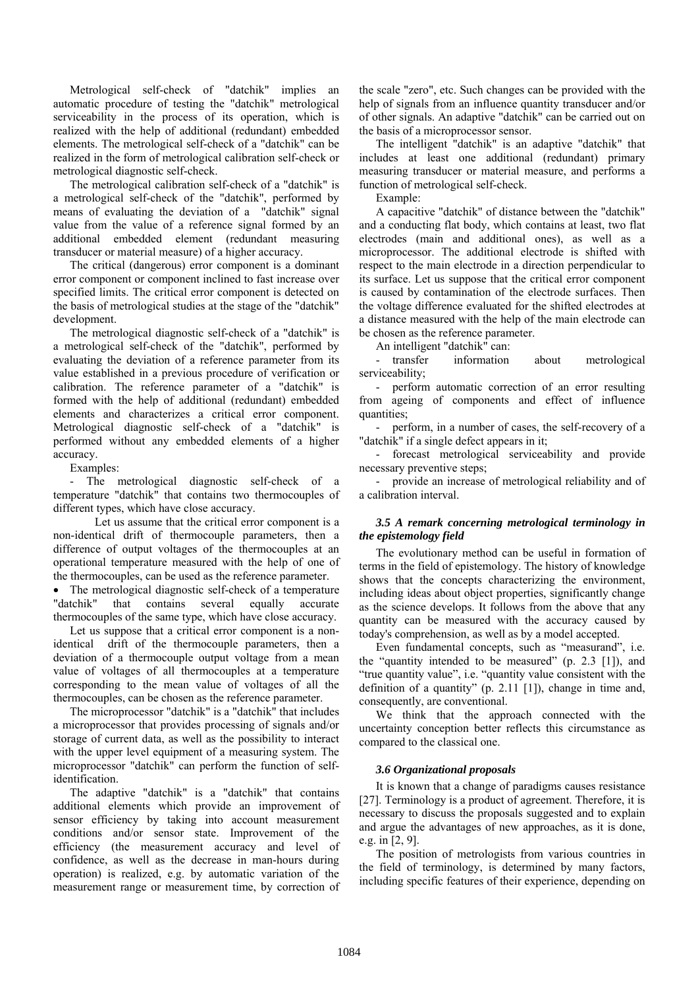Metrological self-check of "datchik" implies an automatic procedure of testing the "datchik" metrological serviceability in the process of its operation, which is realized with the help of additional (redundant) embedded elements. The metrological self-check of a "datchik" can be realized in the form of metrological calibration self-check or metrological diagnostic self-check.

The metrological calibration self-check of a "datchik" is a metrological self-check of the "datchik", performed by means of evaluating the deviation of a "datchik" signal value from the value of a reference signal formed by an additional embedded element (redundant measuring transducer or material measure) of a higher accuracy.

The critical (dangerous) error component is a dominant error component or component inclined to fast increase over specified limits. The critical error component is detected on the basis of metrological studies at the stage of the "datchik" development.

The metrological diagnostic self-check of a "datchik" is a metrological self-check of the "datchik", performed by evaluating the deviation of a reference parameter from its value established in a previous procedure of verification or calibration. The reference parameter of a "datchik" is formed with the help of additional (redundant) embedded elements and characterizes a critical error component. Metrological diagnostic self-check of a "datchik" is performed without any embedded elements of a higher accuracy.

Examples:

- The metrological diagnostic self-check of a temperature "datchik" that contains two thermocouples of different types, which have close accuracy.

Let us assume that the critical error component is a non-identical drift of thermocouple parameters, then a difference of output voltages of the thermocouples at an operational temperature measured with the help of one of the thermocouples, can be used as the reference parameter.

• The metrological diagnostic self-check of a temperature "datchik" that contains several equally accurate thermocouples of the same type, which have close accuracy.

Let us suppose that a critical error component is a nonidentical drift of the thermocouple parameters, then a deviation of a thermocouple output voltage from a mean value of voltages of all thermocouples at a temperature corresponding to the mean value of voltages of all the thermocouples, can be chosen as the reference parameter.

The microprocessor "datchik" is a "datchik" that includes a microprocessor that provides processing of signals and/or storage of current data, as well as the possibility to interact with the upper level equipment of a measuring system. The microprocessor "datchik" can perform the function of selfidentification.

The adaptive "datchik" is a "datchik" that contains additional elements which provide an improvement of sensor efficiency by taking into account measurement conditions and/or sensor state. Improvement of the efficiency (the measurement accuracy and level of confidence, as well as the decrease in man-hours during operation) is realized, e.g. by automatic variation of the measurement range or measurement time, by correction of the scale "zero", etc. Such changes can be provided with the help of signals from an influence quantity transducer and/or of other signals. An adaptive "datchik" can be carried out on the basis of a microprocessor sensor.

The intelligent "datchik" is an adaptive "datchik" that includes at least one additional (redundant) primary measuring transducer or material measure, and performs a function of metrological self-check.

Example:

A capacitive "datchik" of distance between the "datchik" and a conducting flat body, which contains at least, two flat electrodes (main and additional ones), as well as a microprocessor. The additional electrode is shifted with respect to the main electrode in a direction perpendicular to its surface. Let us suppose that the critical error component is caused by contamination of the electrode surfaces. Then the voltage difference evaluated for the shifted electrodes at a distance measured with the help of the main electrode can be chosen as the reference parameter.

An intelligent "datchik" can:

- transfer information about metrological serviceability;

- perform automatic correction of an error resulting from ageing of components and effect of influence quantities;

- perform, in a number of cases, the self-recovery of a "datchik" if a single defect appears in it;

- forecast metrological serviceability and provide necessary preventive steps;

provide an increase of metrological reliability and of a calibration interval.

# *3.5 A remark concerning metrological terminology in the epistemology field*

The evolutionary method can be useful in formation of terms in the field of epistemology. The history of knowledge shows that the concepts characterizing the environment, including ideas about object properties, significantly change as the science develops. It follows from the above that any quantity can be measured with the accuracy caused by today's comprehension, as well as by a model accepted.

Even fundamental concepts, such as "measurand", i.e. the "quantity intended to be measured" (p. 2.3 [1]), and "true quantity value", i.e. "quantity value consistent with the definition of a quantity" (p. 2.11 [1]), change in time and, consequently, are conventional.

We think that the approach connected with the uncertainty conception better reflects this circumstance as compared to the classical one.

## *3.6 Organizational proposals*

It is known that a change of paradigms causes resistance [27]. Terminology is a product of agreement. Therefore, it is necessary to discuss the proposals suggested and to explain and argue the advantages of new approaches, as it is done, e.g. in [2, 9].

The position of metrologists from various countries in the field of terminology, is determined by many factors, including specific features of their experience, depending on